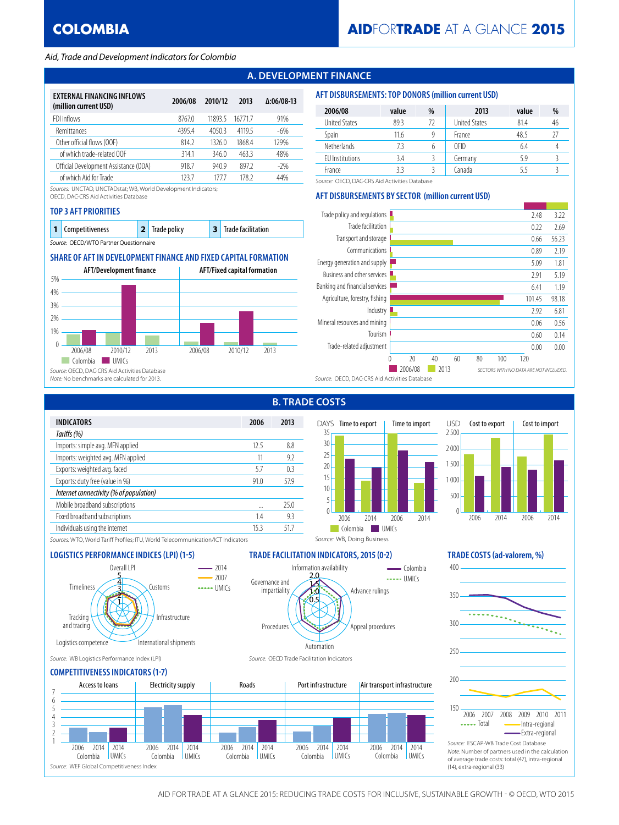## *Aid, Trade and Development Indicators for Colombia*

## **A. DEVELOPMENT FINANCE**

| EXTERNAL FINANCING INFLOWS<br>(million current USD) | 2006/08 | 2010/12 | 2013   | $\Delta:06/08-13$ |
|-----------------------------------------------------|---------|---------|--------|-------------------|
| FDI inflows                                         | 8767.0  | 11893 5 | 167717 | 91%               |
| Remittances                                         | 4395.4  | 4050.3  | 4119.5 | $-6%$             |
| Other official flows (OOF)                          | 814 2   | 13260   | 1868.4 | 129%              |
| of which trade-related OOF                          | 3141    | 346.0   | 463.3  | 48%               |
| Official Development Assistance (ODA)               | 918.7   | 940.9   | 8972   | $-2\%$            |
| of which Aid for Trade                              | 123.7   | 1777    | 178 2  | 44%               |

*Sources:* UNCTAD, UNCTADstat; WB, World Development Indicators;

OECD, DAC-CRS Aid Activities Database

#### **TOP 3 AFT PRIORITIES**

| 1 Competitiveness                      |  | 2 Trade policy |  | 3 Trade facilitation |  |  |  |
|----------------------------------------|--|----------------|--|----------------------|--|--|--|
| Source: OECD/WTO Partner Questionnaire |  |                |  |                      |  |  |  |

## **SHARE OF AFT IN DEVELOPMENT FINANCE AND FIXED CAPITAL FORMATION**



#### **AFT DISBURSEMENTS: TOP DONORS (million current USD)**

| 2006/08                | value | %  | 2013                 | value | %  |
|------------------------|-------|----|----------------------|-------|----|
| <b>United States</b>   | 89.3  | 72 | <b>United States</b> | 81.4  | 46 |
| <b>Spain</b>           | 11.6  | g  | France               | 48.5  | 27 |
| <b>Netherlands</b>     | 7.3   | 6  | OFID                 | 6.4   |    |
| <b>FU</b> Institutions | 3.4   |    | Germany              | 5.9   |    |
| France                 | 33    |    | Canada               |       |    |

*Source:* OECD, DAC-CRS Aid Activities Database

## **AFT DISBURSEMENTS BY SECTOR (million current USD)**

| Trade policy and regulations                  |                                                           |    |    |    |    |     | 2.48   | 3.22  |
|-----------------------------------------------|-----------------------------------------------------------|----|----|----|----|-----|--------|-------|
| Trade facilitation                            |                                                           |    |    |    |    |     | 0.22   | 2.69  |
| Transport and storage                         |                                                           |    |    |    |    |     | 0.66   | 56.23 |
| Communications                                |                                                           |    |    |    |    |     | 0.89   | 2.19  |
| Energy generation and supply                  |                                                           |    |    |    |    |     | 5.09   | 1.81  |
| Business and other services                   |                                                           |    |    |    |    |     | 2.91   | 5.19  |
| Banking and financial services                |                                                           |    |    |    |    |     | 6.41   | 1.19  |
| Agriculture, forestry, fishing                |                                                           |    |    |    |    |     | 101.45 | 98.18 |
| Industry                                      |                                                           |    |    |    |    |     | 2.92   | 6.81  |
| Mineral resources and mining                  |                                                           |    |    |    |    |     | 0.06   | 0.56  |
| Tourism                                       |                                                           |    |    |    |    |     | 0.60   | 0.14  |
| Trade-related adjustment                      |                                                           |    |    |    |    |     | 0.00   | 0.00  |
|                                               | 0                                                         | 20 | 40 | 60 | 80 | 100 | 120    |       |
|                                               | 2006/08<br>2013<br>SECTORS WITH NO DATA ARE NOT INCLUDED. |    |    |    |    |     |        |       |
| Source: OECD, DAC-CRS Aid Activities Database |                                                           |    |    |    |    |     |        |       |

|                                         |          | היו ט |
|-----------------------------------------|----------|-------|
| <b>INDICATORS</b>                       | 2006     | 2013  |
| Tariffs (%)                             |          |       |
| Imports: simple avg. MFN applied        | 12.5     | 8.8   |
| Imports: weighted avg. MFN applied      | 11       | 9.2   |
| Exports: weighted avg. faced            | 5.7      | 0.3   |
| Exports: duty free (value in %)         | 91.0     | 57.9  |
| Internet connectivity (% of population) |          |       |
| Mobile broadband subscriptions          | $\cdots$ | 250   |
| Fixed broadband subscriptions           | 1.4      | 9.3   |
| Individuals using the internet          | 15 3     | 517   |
|                                         |          |       |

# **B. TRADE COSTS**

Information availability

 $6.5$ 1.0 1.5 2.0

Automation



Advance rulings

*Source:* WB, Doing Business

..... UMICs  $\overline{\phantom{a}}$ Colombia

Appeal procedures



*Sources:* WTO, World Tariff Profiles; ITU, World Telecommunication/ICT Indicators

#### **LOGISTICS PERFORMANCE INDICES (LPI) (1-5) TRADE FACILITATION INDICATORS, 2015 (0-2) TRADE COSTS (ad-valorem, %)**



*Source:* WB Logistics Performance Index (LPI) *Source:* OECD Trade Facilitation Indicators

### **COMPETITIVENESS INDICATORS (1-7)**



Procedures

Governance and impartiality